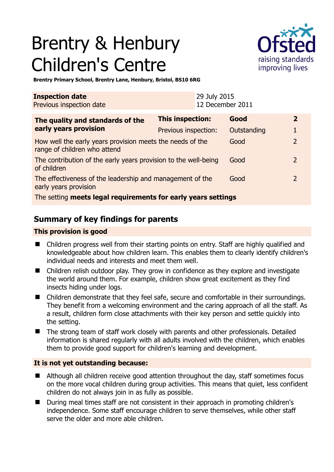# Brentry & Henbury Children's Centre



**Brentry Primary School, Brentry Lane, Henbury, Bristol, BS10 6RG** 

| <b>Inspection date</b><br>Previous inspection date                                         |                      | 29 July 2015<br>12 December 2011 |             |                |
|--------------------------------------------------------------------------------------------|----------------------|----------------------------------|-------------|----------------|
| The quality and standards of the                                                           | This inspection:     |                                  | Good        | 2              |
| early years provision                                                                      | Previous inspection: |                                  | Outstanding |                |
| How well the early years provision meets the needs of the<br>range of children who attend  |                      |                                  | Good        | $\overline{2}$ |
| The contribution of the early years provision to the well-being<br>of children             |                      |                                  | Good        | $\mathcal{L}$  |
| The effectiveness of the leadership and management of the<br>Good<br>early years provision |                      |                                  |             | $\mathcal{L}$  |
| The setting meets legal requirements for early years settings                              |                      |                                  |             |                |

## **Summary of key findings for parents**

#### **This provision is good**

- Children progress well from their starting points on entry. Staff are highly qualified and knowledgeable about how children learn. This enables them to clearly identify children's individual needs and interests and meet them well.
- Children relish outdoor play. They grow in confidence as they explore and investigate the world around them. For example, children show great excitement as they find insects hiding under logs.
- Children demonstrate that they feel safe, secure and comfortable in their surroundings. They benefit from a welcoming environment and the caring approach of all the staff. As a result, children form close attachments with their key person and settle quickly into the setting.
- The strong team of staff work closely with parents and other professionals. Detailed information is shared regularly with all adults involved with the children, which enables them to provide good support for children's learning and development.

### **It is not yet outstanding because:**

- Although all children receive good attention throughout the day, staff sometimes focus on the more vocal children during group activities. This means that quiet, less confident children do not always join in as fully as possible.
- During meal times staff are not consistent in their approach in promoting children's independence. Some staff encourage children to serve themselves, while other staff serve the older and more able children.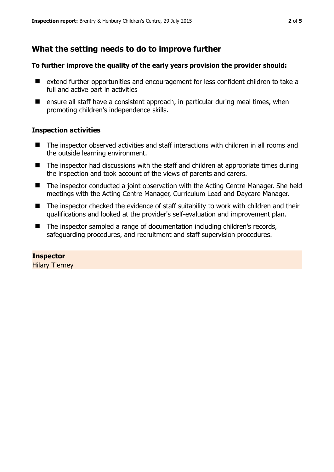## **What the setting needs to do to improve further**

#### **To further improve the quality of the early years provision the provider should:**

- extend further opportunities and encouragement for less confident children to take a full and active part in activities
- $\blacksquare$  ensure all staff have a consistent approach, in particular during meal times, when promoting children's independence skills.

#### **Inspection activities**

- The inspector observed activities and staff interactions with children in all rooms and the outside learning environment.
- The inspector had discussions with the staff and children at appropriate times during the inspection and took account of the views of parents and carers.
- The inspector conducted a joint observation with the Acting Centre Manager. She held meetings with the Acting Centre Manager, Curriculum Lead and Daycare Manager.
- The inspector checked the evidence of staff suitability to work with children and their qualifications and looked at the provider's self-evaluation and improvement plan.
- The inspector sampled a range of documentation including children's records, safeguarding procedures, and recruitment and staff supervision procedures.

#### **Inspector**

Hilary Tierney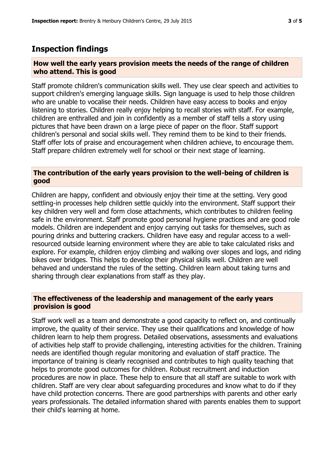## **Inspection findings**

#### **How well the early years provision meets the needs of the range of children who attend. This is good**

Staff promote children's communication skills well. They use clear speech and activities to support children's emerging language skills. Sign language is used to help those children who are unable to vocalise their needs. Children have easy access to books and enjoy listening to stories. Children really enjoy helping to recall stories with staff. For example, children are enthralled and join in confidently as a member of staff tells a story using pictures that have been drawn on a large piece of paper on the floor. Staff support children's personal and social skills well. They remind them to be kind to their friends. Staff offer lots of praise and encouragement when children achieve, to encourage them. Staff prepare children extremely well for school or their next stage of learning.

#### **The contribution of the early years provision to the well-being of children is good**

Children are happy, confident and obviously enjoy their time at the setting. Very good settling-in processes help children settle quickly into the environment. Staff support their key children very well and form close attachments, which contributes to children feeling safe in the environment. Staff promote good personal hygiene practices and are good role models. Children are independent and enjoy carrying out tasks for themselves, such as pouring drinks and buttering crackers. Children have easy and regular access to a wellresourced outside learning environment where they are able to take calculated risks and explore. For example, children enjoy climbing and walking over slopes and logs, and riding bikes over bridges. This helps to develop their physical skills well. Children are well behaved and understand the rules of the setting. Children learn about taking turns and sharing through clear explanations from staff as they play.

#### **The effectiveness of the leadership and management of the early years provision is good**

Staff work well as a team and demonstrate a good capacity to reflect on, and continually improve, the quality of their service. They use their qualifications and knowledge of how children learn to help them progress. Detailed observations, assessments and evaluations of activities help staff to provide challenging, interesting activities for the children. Training needs are identified though regular monitoring and evaluation of staff practice. The importance of training is clearly recognised and contributes to high quality teaching that helps to promote good outcomes for children. Robust recruitment and induction procedures are now in place. These help to ensure that all staff are suitable to work with children. Staff are very clear about safeguarding procedures and know what to do if they have child protection concerns. There are good partnerships with parents and other early years professionals. The detailed information shared with parents enables them to support their child's learning at home.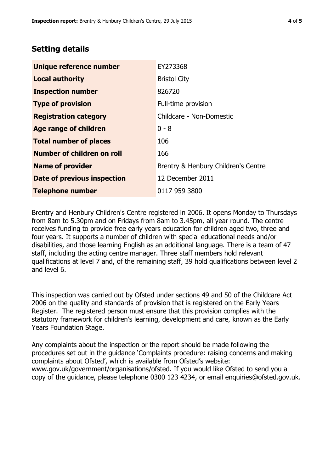# **Setting details**

| Unique reference number       | EY273368                            |  |
|-------------------------------|-------------------------------------|--|
| <b>Local authority</b>        | <b>Bristol City</b>                 |  |
| <b>Inspection number</b>      | 826720                              |  |
| <b>Type of provision</b>      | Full-time provision                 |  |
| <b>Registration category</b>  | Childcare - Non-Domestic            |  |
| Age range of children         | $0 - 8$                             |  |
| <b>Total number of places</b> | 106                                 |  |
| Number of children on roll    | 166                                 |  |
| <b>Name of provider</b>       | Brentry & Henbury Children's Centre |  |
| Date of previous inspection   | 12 December 2011                    |  |
| <b>Telephone number</b>       | 0117 959 3800                       |  |

Brentry and Henbury Children's Centre registered in 2006. It opens Monday to Thursdays from 8am to 5.30pm and on Fridays from 8am to 3.45pm, all year round. The centre receives funding to provide free early years education for children aged two, three and four years. It supports a number of children with special educational needs and/or disabilities, and those learning English as an additional language. There is a team of 47 staff, including the acting centre manager. Three staff members hold relevant qualifications at level 7 and, of the remaining staff, 39 hold qualifications between level 2 and level 6.

This inspection was carried out by Ofsted under sections 49 and 50 of the Childcare Act 2006 on the quality and standards of provision that is registered on the Early Years Register. The registered person must ensure that this provision complies with the statutory framework for children's learning, development and care, known as the Early Years Foundation Stage.

Any complaints about the inspection or the report should be made following the procedures set out in the guidance 'Complaints procedure: raising concerns and making complaints about Ofsted', which is available from Ofsted's website: www.gov.uk/government/organisations/ofsted. If you would like Ofsted to send you a copy of the guidance, please telephone 0300 123 4234, or email enquiries@ofsted.gov.uk.